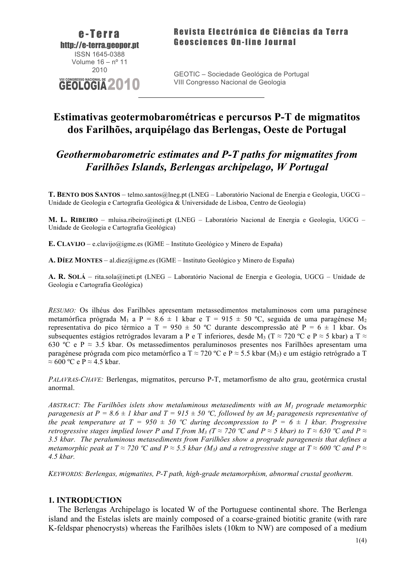

 $\mathcal{L}_\text{max}$  and  $\mathcal{L}_\text{max}$  and  $\mathcal{L}_\text{max}$  and  $\mathcal{L}_\text{max}$  and  $\mathcal{L}_\text{max}$ 

# **Estimativas geotermobarométricas e percursos P-T de migmatitos dos Farilhões, arquipélago das Berlengas, Oeste de Portugal**

## *Geothermobarometric estimates and P-T paths for migmatites from Farilhões Islands, Berlengas archipelago, W Portugal*

**T. BENTO DOS SANTOS** – telmo.santos@lneg.pt (LNEG – Laboratório Nacional de Energia e Geologia, UGCG – Unidade de Geologia e Cartografia Geológica & Universidade de Lisboa, Centro de Geologia)

**M. L. RIBEIRO** – mluisa.ribeiro@ineti.pt (LNEG – Laboratório Nacional de Energia e Geologia, UGCG – Unidade de Geologia e Cartografia Geológica)

**E. CLAVIJO** – e.clavijo@igme.es (IGME – Instituto Geológico y Minero de España)

**A. DÍEZ MONTES** – al.diez@igme.es (IGME – Instituto Geológico y Minero de España)

**A. R. SOLÁ** – rita.sola@ineti.pt (LNEG – Laboratório Nacional de Energia e Geologia, UGCG – Unidade de Geologia e Cartografia Geológica)

*RESUMO:* Os ilhéus dos Farilhões apresentam metassedimentos metaluminosos com uma paragénese metamórfica prógrada M<sub>1</sub> a P = 8.6  $\pm$  1 kbar e T = 915  $\pm$  50 °C, seguida de uma paragénese M<sub>2</sub> representativa do pico térmico a T = 950  $\pm$  50 °C durante descompressão até P = 6  $\pm$  1 kbar. Os subsequentes estágios retrógrados levaram a P e T inferiores, desde M<sub>3</sub> (T ≈ 720 °C e P ≈ 5 kbar) a T ≈ 630 °C e P  $\approx$  3.5 kbar. Os metassedimentos peraluminosos presentes nos Farilhões apresentam uma paragénese prógrada com pico metamórfico a T  $\approx$  720 °C e P  $\approx$  5.5 kbar (M<sub>3</sub>) e um estágio retrógrado a T  $\approx$  600 °C e P  $\approx$  4.5 kbar.

*PALAVRAS-CHAVE:* Berlengas, migmatitos, percurso P-T, metamorfismo de alto grau, geotérmica crustal anormal.

*ABSTRACT: The Farilhões islets show metaluminous metasediments with an M1 prograde metamorphic paragenesis at P = 8.6*  $\pm$  *1 kbar and T = 915*  $\pm$  *50 °C, followed by an M<sub>2</sub> paragenesis representative of the peak temperature at T = 950*  $\pm$  *50 °C during decompression to P = 6*  $\pm$  *1 kbar. Progressive retrogressive stages implied lower P and T from*  $M_3$  *(T*  $\approx$  *720 °C and P*  $\approx$  *5 kbar) to T*  $\approx$  *630 °C and P*  $\approx$ *3.5 kbar. The peraluminous metasediments from Farilhões show a prograde paragenesis that defines a metamorphic peak at T*  $\approx$  720 °C and P  $\approx$  5.5 kbar (M<sub>3</sub>) and a retrogressive stage at T  $\approx$  600 °C and P  $\approx$ *4.5 kbar.*

*KEYWORDS: Berlengas, migmatites, P-T path, high-grade metamorphism, abnormal crustal geotherm.*

### **1. INTRODUCTION**

The Berlengas Archipelago is located W of the Portuguese continental shore. The Berlenga island and the Estelas islets are mainly composed of a coarse-grained biotitic granite (with rare K-feldspar phenocrysts) whereas the Farilhões islets (10km to NW) are composed of a medium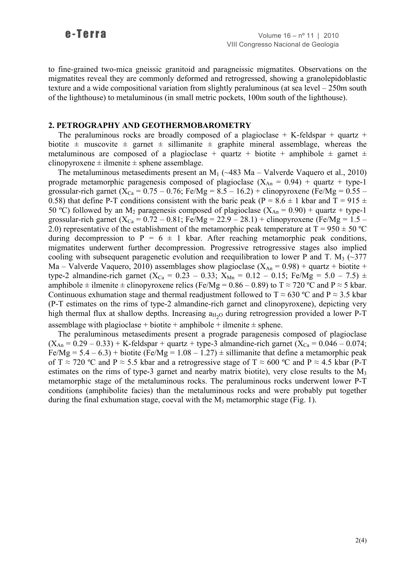to fine-grained two-mica gneissic granitoid and paragneissic migmatites. Observations on the migmatites reveal they are commonly deformed and retrogressed, showing a granolepidoblastic texture and a wide compositional variation from slightly peraluminous (at sea level – 250m south of the lighthouse) to metaluminous (in small metric pockets, 100m south of the lighthouse).

## **2. PETROGRAPHY AND GEOTHERMOBAROMETRY**

The peraluminous rocks are broadly composed of a plagioclase  $+$  K-feldspar  $+$  quartz  $+$ biotite  $\pm$  muscovite  $\pm$  garnet  $\pm$  sillimanite  $\pm$  graphite mineral assemblage, whereas the metaluminous are composed of a plagioclase + quartz + biotite + amphibole  $\pm$  garnet  $\pm$ clinopyroxene  $\pm$  ilmenite  $\pm$  sphene assemblage.

The metaluminous metasediments present an  $M_1$  ( $\sim$ 483 Ma – Valverde Vaquero et al., 2010) prograde metamorphic paragenesis composed of plagioclase  $(X_{An} = 0.94) +$  quartz + type-1 grossular-rich garnet ( $X_{Ca} = 0.75 - 0.76$ ; Fe/Mg = 8.5 – 16.2) + clinopyroxene (Fe/Mg = 0.55 – 0.58) that define P-T conditions consistent with the baric peak (P =  $8.6 \pm 1$  kbar and T =  $915 \pm 1$ 50 °C) followed by an M<sub>2</sub> paragenesis composed of plagioclase ( $X_{An} = 0.90$ ) + quartz + type-1 grossular-rich garnet ( $X_{Ca} = 0.72 - 0.81$ ; Fe/Mg = 22.9 – 28.1) + clinopyroxene (Fe/Mg = 1.5 – 2.0) representative of the establishment of the metamorphic peak temperature at  $T = 950 \pm 50$  °C during decompression to  $P = 6 \pm 1$  kbar. After reaching metamorphic peak conditions, migmatites underwent further decompression. Progressive retrogressive stages also implied cooling with subsequent paragenetic evolution and reequilibration to lower P and T. M<sub>3</sub> ( $\sim$ 377) Ma – Valverde Vaquero, 2010) assemblages show plagioclase  $(X_{An} = 0.98)$  + quartz + biotite + type-2 almandine-rich garnet (X<sub>Ca</sub> = 0.23 – 0.33; X<sub>Mn</sub> = 0.12 – 0.15; Fe/Mg = 5.0 – 7.5)  $\pm$ amphibole  $\pm$  ilmenite  $\pm$  clinopyroxene relics (Fe/Mg = 0.86 – 0.89) to T  $\approx$  720 °C and P  $\approx$  5 kbar. Continuous exhumation stage and thermal readjustment followed to  $T \approx 630$  °C and P  $\approx 3.5$  kbar (P-T estimates on the rims of type-2 almandine-rich garnet and clinopyroxene), depicting very high thermal flux at shallow depths. Increasing  $a_{H_2O}$  during retrogression provided a lower P-T assemblage with plagioclase + biotite + amphibole + ilmenite  $\pm$  sphene.

The peraluminous metasediments present a prograde paragenesis composed of plagioclase  $(X_{An} = 0.29 - 0.33) + K-field$ s = 0.046 – 0.074;  $Fe/Mg = 5.4 - 6.3$  + biotite (Fe/Mg = 1.08 – 1.27)  $\pm$  sillimanite that define a metamorphic peak of T  $\approx$  720 °C and P  $\approx$  5.5 kbar and a retrogressive stage of T  $\approx$  600 °C and P  $\approx$  4.5 kbar (P-T) estimates on the rims of type-3 garnet and nearby matrix biotite), very close results to the  $M_3$ metamorphic stage of the metaluminous rocks. The peraluminous rocks underwent lower P-T conditions (amphibolite facies) than the metaluminous rocks and were probably put together during the final exhumation stage, coeval with the  $M_3$  metamorphic stage (Fig. 1).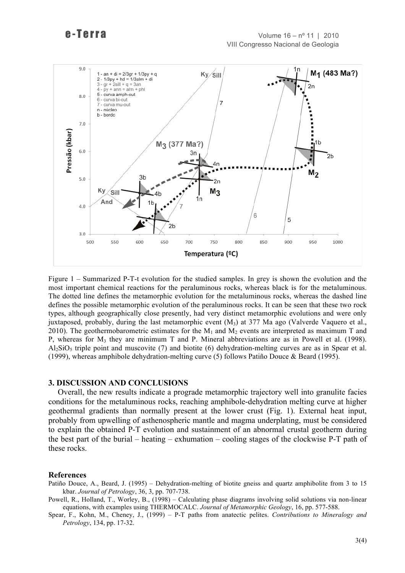

Figure 1 – Summarized P-T-t evolution for the studied samples. In grey is shown the evolution and the most important chemical reactions for the peraluminous rocks, whereas black is for the metaluminous. The dotted line defines the metamorphic evolution for the metaluminous rocks, whereas the dashed line defines the possible metamorphic evolution of the peraluminous rocks. It can be seen that these two rock types, although geographically close presently, had very distinct metamorphic evolutions and were only juxtaposed, probably, during the last metamorphic event  $(M_3)$  at 377 Ma ago (Valverde Vaquero et al., 2010). The geothermobarometric estimates for the  $M_1$  and  $M_2$  events are interpreted as maximum T and P, whereas for  $M_3$  they are minimum T and P. Mineral abbreviations are as in Powell et al. (1998).  $A<sub>12</sub>SiO<sub>5</sub>$  triple point and muscovite (7) and biotite (6) dehydration-melting curves are as in Spear et al. (1999), whereas amphibole dehydration-melting curve (5) follows Patiño Douce & Beard (1995).

#### **3. DISCUSSION AND CONCLUSIONS**

Overall, the new results indicate a prograde metamorphic trajectory well into granulite facies conditions for the metaluminous rocks, reaching amphibole-dehydration melting curve at higher geothermal gradients than normally present at the lower crust (Fig. 1). External heat input, probably from upwelling of asthenospheric mantle and magma underplating, must be considered to explain the obtained P-T evolution and sustainment of an abnormal crustal geotherm during the best part of the burial – heating – exhumation – cooling stages of the clockwise P-T path of these rocks.

#### **References**

- Patiño Douce, A., Beard, J. (1995) Dehydration-melting of biotite gneiss and quartz amphibolite from 3 to 15 kbar. *Journal of Petrology*, 36, 3, pp. 707-738.
- Powell, R., Holland, T., Worley, B., (1998) Calculating phase diagrams involving solid solutions via non-linear equations, with examples using THERMOCALC. *Journal of Metamorphic Geology*, 16, pp. 577-588.
- Spear, F., Kohn, M., Cheney, J., (1999) P-T paths from anatectic pelites. *Contributions to Mineralogy and Petrology*, 134, pp. 17-32.